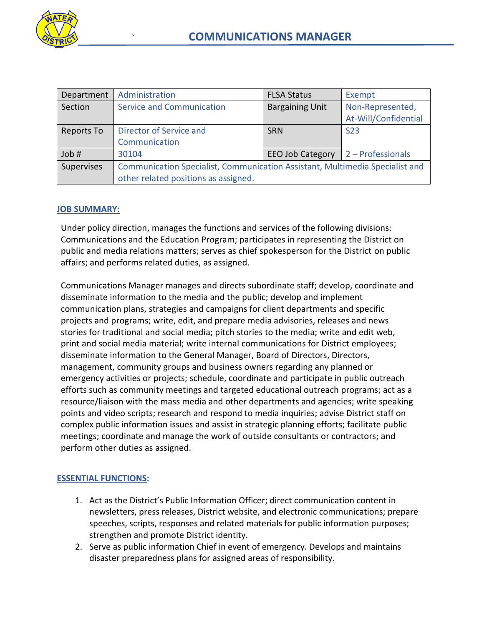

| Department | Administration                                                               | <b>FLSA Status</b>      | Exempt               |
|------------|------------------------------------------------------------------------------|-------------------------|----------------------|
| Section    | <b>Service and Communication</b>                                             | <b>Bargaining Unit</b>  | Non-Represented,     |
|            |                                                                              |                         | At-Will/Confidential |
| Reports To | Director of Service and                                                      | <b>SRN</b>              | S <sub>23</sub>      |
|            | Communication                                                                |                         |                      |
| Job #      | 30104                                                                        | <b>EEO Job Category</b> | 2 - Professionals    |
| Supervises | Communication Specialist, Communication Assistant, Multimedia Specialist and |                         |                      |
|            | other related positions as assigned.                                         |                         |                      |

### **JOB SUMMARY:**

Under policy direction, manages the functions and services of the following divisions: Communications and the Education Program; participates in representing the District on public and media relations matters; serves as chief spokesperson for the District on public affairs; and performs related duties, as assigned.

Communications Manager manages and directs subordinate staff; develop, coordinate and disseminate information to the media and the public; develop and implement communication plans, strategies and campaigns for client departments and specific projects and programs; write, edit, and prepare media advisories, releases and news stories for traditional and social media; pitch stories to the media; write and edit web, print and social media material; write internal communications for District employees; disseminate information to the General Manager, Board of Directors, Directors, management, community groups and business owners regarding any planned or emergency activities or projects; schedule, coordinate and participate in public outreach efforts such as community meetings and targeted educational outreach programs; act as a resource/liaison with the mass media and other departments and agencies; write speaking points and video scripts; research and respond to media inquiries; advise District staff on complex public information issues and assist in strategic planning efforts; facilitate public meetings; coordinate and manage the work of outside consultants or contractors; and perform other duties as assigned.

#### **ESSENTIAL FUNCTIONS:**

- 1. Act as the District's Public Information Officer; direct communication content in newsletters, press releases, District website, and electronic communications; prepare speeches, scripts, responses and related materials for public information purposes; strengthen and promote District identity.
- 2. Serve as public information Chief in event of emergency. Develops and maintains disaster preparedness plans for assigned areas of responsibility.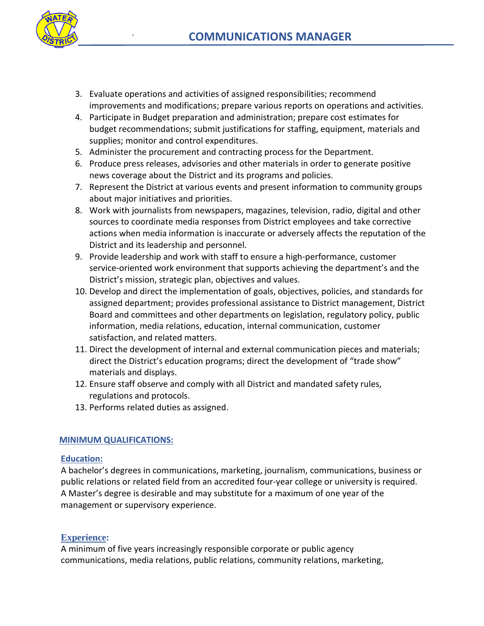

- 3. Evaluate operations and activities of assigned responsibilities; recommend improvements and modifications; prepare various reports on operations and activities.
- 4. Participate in Budget preparation and administration; prepare cost estimates for budget recommendations; submit justifications for staffing, equipment, materials and supplies; monitor and control expenditures.
- 5. Administer the procurement and contracting process for the Department.
- 6. Produce press releases, advisories and other materials in order to generate positive news coverage about the District and its programs and policies.
- 7. Represent the District at various events and present information to community groups about major initiatives and priorities.
- 8. Work with journalists from newspapers, magazines, television, radio, digital and other sources to coordinate media responses from District employees and take corrective actions when media information is inaccurate or adversely affects the reputation of the District and its leadership and personnel.
- 9. Provide leadership and work with staff to ensure a high-performance, customer service-oriented work environment that supports achieving the department's and the District's mission, strategic plan, objectives and values.
- 10. Develop and direct the implementation of goals, objectives, policies, and standards for assigned department; provides professional assistance to District management, District Board and committees and other departments on legislation, regulatory policy, public information, media relations, education, internal communication, customer satisfaction, and related matters.
- 11. Direct the development of internal and external communication pieces and materials; direct the District's education programs; direct the development of "trade show" materials and displays.
- 12. Ensure staff observe and comply with all District and mandated safety rules, regulations and protocols.
- 13. Performs related duties as assigned.

# **MINIMUM QUALIFICATIONS:**

# **Education:**

A bachelor's degrees in communications, marketing, journalism, communications, business or public relations or related field from an accredited four-year college or university is required. A Master's degree is desirable and may substitute for a maximum of one year of the management or supervisory experience.

# **Experience:**

A minimum of five years increasingly responsible corporate or public agency communications, media relations, public relations, community relations, marketing,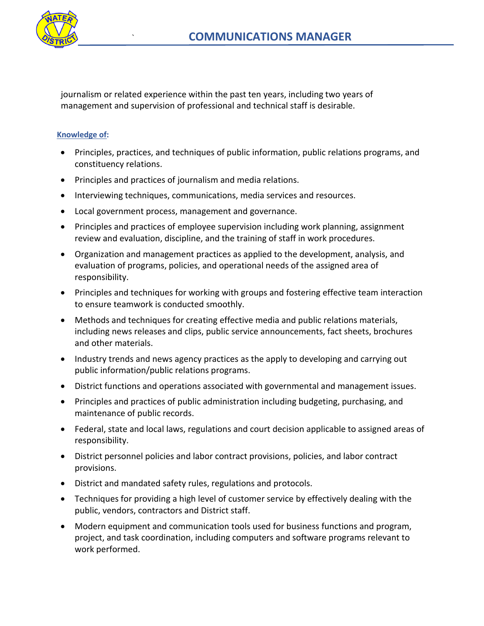

journalism or related experience within the past ten years, including two years of management and supervision of professional and technical staff is desirable.

### **Knowledge of:**

- Principles, practices, and techniques of public information, public relations programs, and constituency relations.
- Principles and practices of journalism and media relations.
- Interviewing techniques, communications, media services and resources.
- Local government process, management and governance.
- Principles and practices of employee supervision including work planning, assignment review and evaluation, discipline, and the training of staff in work procedures.
- Organization and management practices as applied to the development, analysis, and evaluation of programs, policies, and operational needs of the assigned area of responsibility.
- Principles and techniques for working with groups and fostering effective team interaction to ensure teamwork is conducted smoothly.
- Methods and techniques for creating effective media and public relations materials, including news releases and clips, public service announcements, fact sheets, brochures and other materials.
- Industry trends and news agency practices as the apply to developing and carrying out public information/public relations programs.
- District functions and operations associated with governmental and management issues.
- Principles and practices of public administration including budgeting, purchasing, and maintenance of public records.
- Federal, state and local laws, regulations and court decision applicable to assigned areas of responsibility.
- District personnel policies and labor contract provisions, policies, and labor contract provisions.
- District and mandated safety rules, regulations and protocols.
- Techniques for providing a high level of customer service by effectively dealing with the public, vendors, contractors and District staff.
- Modern equipment and communication tools used for business functions and program, project, and task coordination, including computers and software programs relevant to work performed.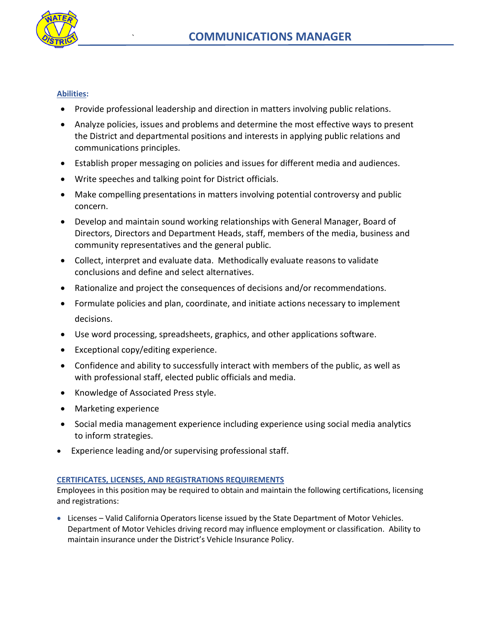

#### **Abilities:**

- Provide professional leadership and direction in matters involving public relations.
- Analyze policies, issues and problems and determine the most effective ways to present the District and departmental positions and interests in applying public relations and communications principles.
- Establish proper messaging on policies and issues for different media and audiences.
- Write speeches and talking point for District officials.
- Make compelling presentations in matters involving potential controversy and public concern.
- Develop and maintain sound working relationships with General Manager, Board of Directors, Directors and Department Heads, staff, members of the media, business and community representatives and the general public.
- Collect, interpret and evaluate data. Methodically evaluate reasons to validate conclusions and define and select alternatives.
- Rationalize and project the consequences of decisions and/or recommendations.
- Formulate policies and plan, coordinate, and initiate actions necessary to implement decisions.
- Use word processing, spreadsheets, graphics, and other applications software.
- Exceptional copy/editing experience.
- Confidence and ability to successfully interact with members of the public, as well as with professional staff, elected public officials and media.
- Knowledge of Associated Press style.
- Marketing experience
- Social media management experience including experience using social media analytics to inform strategies.
- Experience leading and/or supervising professional staff.

#### **CERTIFICATES, LICENSES, AND REGISTRATIONS REQUIREMENTS**

Employees in this position may be required to obtain and maintain the following certifications, licensing and registrations:

 Licenses – Valid California Operators license issued by the State Department of Motor Vehicles. Department of Motor Vehicles driving record may influence employment or classification. Ability to maintain insurance under the District's Vehicle Insurance Policy.